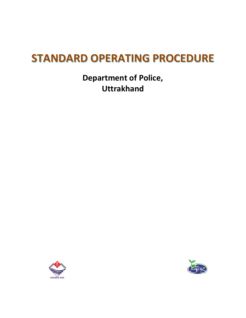# **STANDARD OPERATING PROCEDURE**

**Department of Police, Uttrakhand**



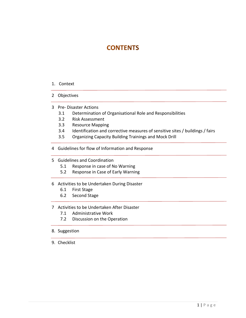# **CONTENTS**

#### 1. Context

- 2 Objectives
- 3 Pre- Disaster Actions
	- 3.1 Determination of Organisational Role and Responsibilities
	- 3.2 Risk Assessment
	- 3.3 Resource Mapping
	- 3.4 Identification and corrective measures of sensitive sites / buildings / fairs
	- 3.5 Organizing Capacity Building Trainings and Mock Drill
- 4 Guidelines for flow of Information and Response
- 5 Guidelines and Coordination
	- 5.1 Response in case of No Warning
	- 5.2 Response in Case of Early Warning

#### 6 Activities to be Undertaken During Disaster

- 6.1 First Stage
- 6.2 Second Stage

#### 7 Activities to be Undertaken After Disaster

- 7.1 Administrative Work
- 7.2 Discussion on the Operation
- 8. Suggestion
- 9. Checklist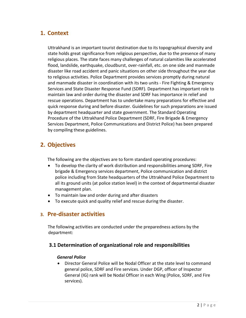# **1. Context**

Uttrakhand is an important tourist destination due to its topographical diversity and state holds great significance from religious perspective, due to the presence of many religious places. The state faces many challenges of natural calamities like accelerated flood, landslide, earthquake, cloudburst, over-rainfall, etc. on one side and manmade disaster like road accident and panic situations on other side throughout the year due to religious activities. Police Department provides services promptly during natural and manmade disaster in coordination with its two units - Fire Fighting & Emergency Services and State Disaster Response Fund (SDRF). Department has important role to maintain law and order during the disaster and SDRF has importance in relief and rescue operations. Department has to undertake many preparations for effective and quick response during and before disaster. Guidelines for such preparations are issued by department headquarter and state government. The Standard Operating Procedure of the Uttrakhand Police Department (SDRF, Fire Brigade & Emergency Services Department, Police Communications and District Police) has been prepared by compiling these guidelines.

# **2. Objectives**

The following are the objectives are to form standard operating procedures:

- To develop the clarity of work distribution and responsibilities among SDRF, Fire brigade & Emergency services department, Police communication and district police including from State headquarters of the Uttrakhand Police Department to all its ground units (at police station level) in the context of departmental disaster management plan.
- To maintain law and order during and after disasters
- To execute quick and quality relief and rescue during the disaster.

# **3. Pre-disaster activities**

The following activities are conducted under the preparedness actions by the department:

### **3.1 Determination of organizational role and responsibilities**

#### *General Police*

 Director General Police will be Nodal Officer at the state level to command general police, SDRF and Fire services. Under DGP, officer of Inspector General (IG) rank will be Nodal Officer in each Wing (Police, SDRF, and Fire services).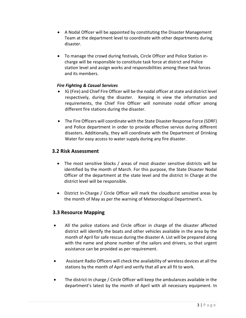- A Nodal Officer will be appointed by constituting the Disaster Management Team at the department level to coordinate with other departments during disaster.
- To manage the crowd during festivals, Circle Officer and Police Station incharge will be responsible to constitute task force at district and Police station level and assign works and responsibilities among these task forces and its members.

#### *Fire Fighting & Casual Services*

- IG (Fire) and Chief Fire Officer will be the nodal officer at state and district level respectively, during the disaster. Keeping in view the information and requirements, the Chief Fire Officer will nominate nodal officer among different fire stations during the disaster.
- The Fire Officers will coordinate with the State Disaster Response Force (SDRF) and Police department in order to provide effective service during different disasters. Additionally, they will coordinate with the Department of Drinking Water for easy access to water supply during any fire disaster.

### **3.2 Risk Assessment**

- The most sensitive blocks / areas of most disaster sensitive districts will be identified by the month of March. For this purpose, the State Disaster Nodal Officer of the department at the state level and the district In Charge at the district level will be responsible.
- District In-Charge / Circle Officer will mark the cloudburst sensitive areas by the month of May as per the warning of Meteorological Department's.

### **3.3 Resource Mapping**

- All the police stations and Circle officer in charge of the disaster affected district will identify the boats and other vehicles available in the area by the month of April for safe rescue during the disaster A. List will be prepared along with the name and phone number of the sailors and drivers, so that urgent assistance can be provided as per requirement.
- Assistant Radio Officers will check the availability of wireless devices at all the stations by the month of April and verify that all are all fit to work.
- The district-In charge / Circle Officer will keep the ambulances available in the department's latest by the month of April with all necessary equipment. In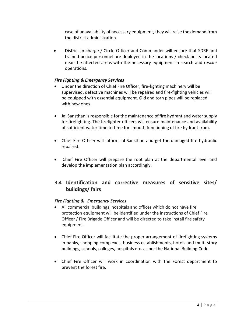case of unavailability of necessary equipment, they will raise the demand from the district administration.

 District In-charge / Circle Officer and Commander will ensure that SDRF and trained police personnel are deployed in the locations / check posts located near the affected areas with the necessary equipment in search and rescue operations.

#### *Fire Fighting & Emergency Services*

- Under the direction of Chief Fire Officer, fire-fighting machinery will be supervised, defective machines will be repaired and fire-fighting vehicles will be equipped with essential equipment. Old and torn pipes will be replaced with new ones.
- Jal Sansthan is responsible for the maintenance of fire hydrant and water supply for firefighting. The firefighter officers will ensure maintenance and availability of sufficient water time to time for smooth functioning of fire hydrant from.
- Chief Fire Officer will inform Jal Sansthan and get the damaged fire hydraulic repaired.
- Chief Fire Officer will prepare the root plan at the departmental level and develop the implementation plan accordingly.

# **3.4 Identification and corrective measures of sensitive sites/ buildings/ fairs**

#### *Fire Fighting & Emergency Services*

- All commercial buildings, hospitals and offices which do not have fire protection equipment will be identified under the instructions of Chief Fire Officer / Fire Brigade Officer and will be directed to take install fire safety equipment.
- Chief Fire Officer will facilitate the proper arrangement of firefighting systems in banks, shopping complexes, business establishments, hotels and multi-story buildings, schools, colleges, hospitals etc. as per the National Building Code.
- Chief Fire Officer will work in coordination with the Forest department to prevent the forest fire.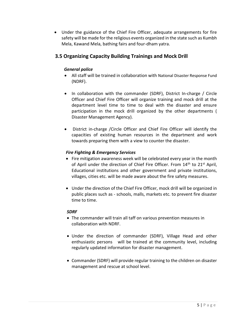Under the guidance of the Chief Fire Officer, adequate arrangements for fire safety will be made for the religious events organized in the state such as Kumbh Mela, Kawand Mela, bathing fairs and four-dham yatra.

## **3.5 Organizing Capacity Building Trainings and Mock Drill**

#### *General police*

- All staff will be trained in collaboration with National Disaster Response Fund (NDRF).
- In collaboration with the commander (SDRF), District In-charge / Circle Officer and Chief Fire Officer will organize training and mock drill at the department level time to time to deal with the disaster and ensure participation in the mock drill organized by the other departments ( Disaster Management Agency).
- District in-charge /Circle Officer and Chief Fire Officer will identify the capacities of existing human resources in the department and work towards preparing them with a view to counter the disaster.

#### *Fire Fighting & Emergency Services*

- Fire mitigation awareness week will be celebrated every year in the month of April under the direction of Chief Fire Officer. From 14<sup>th</sup> to 21<sup>st</sup> April, Educational institutions and other government and private institutions, villages, cities etc. will be made aware about the fire safety measures.
- Under the direction of the Chief Fire Officer, mock drill will be organized in public places such as - schools, malls, markets etc. to prevent fire disaster time to time.

#### *SDRF*

- The commander will train all taff on various prevention measures in collaboration with NDRF.
- Under the direction of commander (SDRF), Village Head and other enthusiastic persons will be trained at the community level, including regularly updated information for disaster management.
- Commander (SDRF) will provide regular training to the children on disaster management and rescue at school level.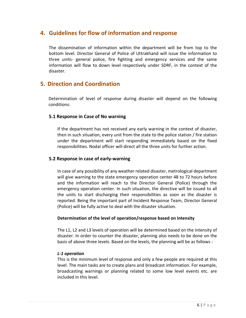# **4. Guidelines for flow of information and response**

The dissemination of information within the department will be from top to the bottom level. Director General of Police of Uttrakhand will issue the information to three units- general police, fire fighting and emergency services and the same information will flow to down level respectively under SDRF, in the context of the disaster.

# **5. Direction and Coordination**

Determination of level of response during disaster will depend on the following conditions:

#### **5.1 Response in Case of No warning**

If the department has not received any early warning in the context of disaster, then in such situation, every unit from the state to the police station / fire station under the department will start responding immediately based on the fixed responsibilities. Nodal officer will direct all the three units for further action.

#### **5.2 Response in case of early-warning**

In case of any possibility of any weather related disaster, metrological department will give warning to the state emergency operation center 48 to 72 hours before and the information will reach to the Director General (Police) through the emergency operation center. In such situation, the directive will be issued to all the units to start discharging their responsibilities as soon as the disaster is reported. Being the important part of Incident Response Team, Director General (Police) will be fully active to deal with the disaster situation.

#### **Determination of the level of operation/response based on intensity**

The L1, L2 and L3 levels of operation will be determined based on the intensity of disaster. In order to counter the disaster, planning also needs to be done on the basis of above three levels. Based on the levels, the planning will be as follows :

#### *L-1 operation*

This is the minimum level of response and only a few people are required at this level. The main tasks are to create plans and broadcast information. For example, broadcasting warnings or planning related to some low level events etc. are included in this level.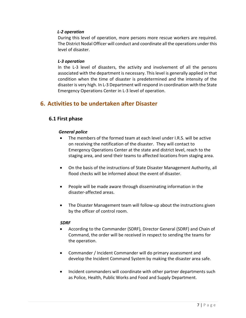#### *L-2 operation*

During this level of operation, more persons more rescue workers are required. The District Nodal Officer will conduct and coordinate all the operations under this level of disaster.

#### *L-3 operation*

In the L-3 level of disasters, the activity and involvement of all the persons associated with the department is necessary. This level is generally applied in that condition when the time of disaster is predetermined and the intensity of the disaster is very high. In L-3 Department will respond in coordination with the State Emergency Operations Center in L-3 level of operation.

# **6. Activities to be undertaken after Disaster**

### **6.1 First phase**

#### *General police*

- The members of the formed team at each level under I.R.S. will be active on receiving the notification of the disaster. They will contact to Emergency Operations Center at the state and district level, reach to the staging area, and send their teams to affected locations from staging area.
- On the basis of the instructions of State Disaster Management Authority, all flood checks will be informed about the event of disaster.
- People will be made aware through disseminating information in the disaster-affected areas.
- The Disaster Management team will follow-up about the instructions given by the officer of control room.

#### *SDRF*

- According to the Commander (SDRF), Director General (SDRF) and Chain of Command, the order will be received in respect to sending the teams for the operation.
- Commander / Incident Commander will do primary assessment and develop the Incident Command System by making the disaster area safe.
- Incident commanders will coordinate with other partner departments such as Police, Health, Public Works and Food and Supply Department.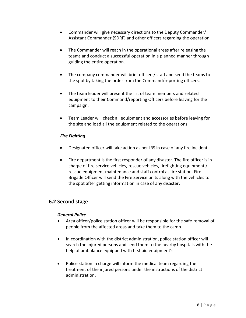- Commander will give necessary directions to the Deputy Commander/ Assistant Commander (SDRF) and other officers regarding the operation.
- The Commander will reach in the operational areas after releasing the teams and conduct a successful operation in a planned manner through guiding the entire operation.
- The company commander will brief officers/ staff and send the teams to the spot by taking the order from the Command/reporting officers.
- The team leader will present the list of team members and related equipment to their Command/reporting Officers before leaving for the campaign.
- Team Leader will check all equipment and accessories before leaving for the site and load all the equipment related to the operations.

### *Fire Fighting*

- Designated officer will take action as per IRS in case of any fire incident.
- Fire department is the first responder of any disaster. The fire officer is in charge of fire service vehicles, rescue vehicles, firefighting equipment / rescue equipment maintenance and staff control at fire station. Fire Brigade Officer will send the Fire Service units along with the vehicles to the spot after getting information in case of any disaster.

# **6.2 Second stage**

#### *General Police*

- Area officer/police station officer will be responsible for the safe removal of people from the affected areas and take them to the camp.
- In coordination with the district administration, police station officer will search the injured persons and send them to the nearby hospitals with the help of ambulance equipped with first aid equipment's.
- Police station in charge will inform the medical team regarding the treatment of the injured persons under the instructions of the district administration.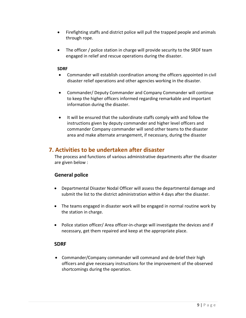- Firefighting staffs and district police will pull the trapped people and animals through rope.
- The officer / police station in charge will provide security to the SRDF team engaged in relief and rescue operations during the disaster.

#### **SDRF**

- Commander will establish coordination among the officers appointed in civil disaster relief operations and other agencies working in the disaster.
- Commander/ Deputy Commander and Company Commander will continue to keep the higher officers informed regarding remarkable and important information during the disaster.
- It will be ensured that the subordinate staffs comply with and follow the instructions given by deputy commander and higher level officers and commander Company commander will send other teams to the disaster area and make alternate arrangement, if necessary, during the disaster

# **7. Activities to be undertaken after disaster**

The process and functions of various administrative departments after the disaster are given below :

### **General police**

- Departmental Disaster Nodal Officer will assess the departmental damage and submit the list to the district administration within 4 days after the disaster.
- The teams engaged in disaster work will be engaged in normal routine work by the station in charge.
- Police station officer/ Area officer-in-charge will investigate the devices and if necessary, get them repaired and keep at the appropriate place.

### **SDRF**

 Commander/Company commander will command and de-brief their high officers and give necessary instructions for the improvement of the observed shortcomings during the operation.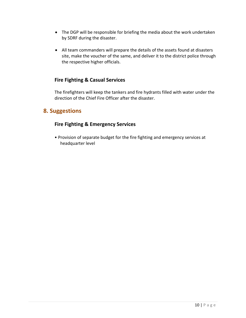- The DGP will be responsible for briefing the media about the work undertaken by SDRF during the disaster.
- All team commanders will prepare the details of the assets found at disasters site, make the voucher of the same, and deliver it to the district police through the respective higher officials.

### **Fire Fighting & Casual Services**

The firefighters will keep the tankers and fire hydrants filled with water under the direction of the Chief Fire Officer after the disaster.

# **8. Suggestions**

## **Fire Fighting & Emergency Services**

• Provision of separate budget for the fire fighting and emergency services at headquarter level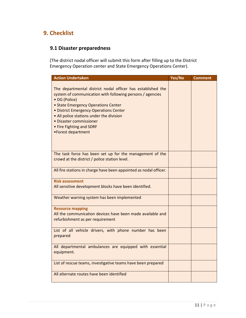# **9. Checklist**

# **9.1 Disaster preparedness**

(The district nodal officer will submit this form after filling up to the District Emergency Operation center and State Emergency Operations Center).

| <b>Action Undertaken</b>                                                                                                                                                                                                                                                                                                                            | Yes/No | <b>Comment</b> |
|-----------------------------------------------------------------------------------------------------------------------------------------------------------------------------------------------------------------------------------------------------------------------------------------------------------------------------------------------------|--------|----------------|
| The departmental district nodal officer has established the<br>system of communication with following persons / agencies<br>• DG (Police)<br>• State Emergency Operations Center<br>• District Emergency Operations Center<br>• All police stations under the division<br>• Disaster commissioner<br>• Fire Fighting and SDRF<br>•Forest department |        |                |
| The task force has been set up for the management of the<br>crowd at the district / police station level.                                                                                                                                                                                                                                           |        |                |
| All fire stations in charge have been appointed as nodal officer.                                                                                                                                                                                                                                                                                   |        |                |
| <b>Risk assessment</b><br>All sensitive development blocks have been identified.                                                                                                                                                                                                                                                                    |        |                |
| Weather warning system has been implemented                                                                                                                                                                                                                                                                                                         |        |                |
| <b>Resource mapping</b><br>All the communication devices have been made available and<br>refurbishment as per requirement                                                                                                                                                                                                                           |        |                |
| List of all vehicle drivers, with phone number has been<br>prepared                                                                                                                                                                                                                                                                                 |        |                |
| All departmental ambulances are equipped with essential<br>equipment.                                                                                                                                                                                                                                                                               |        |                |
| List of rescue teams, investigative teams have been prepared                                                                                                                                                                                                                                                                                        |        |                |
| All alternate routes have been identified                                                                                                                                                                                                                                                                                                           |        |                |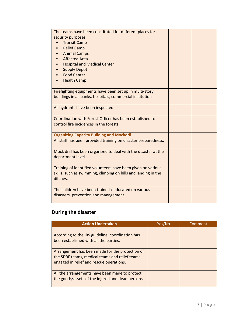| The teams have been constituted for different places for       |  |
|----------------------------------------------------------------|--|
| security purposes                                              |  |
| <b>Transit Camp</b>                                            |  |
| <b>Relief Camp</b>                                             |  |
| <b>Animal Camps</b>                                            |  |
| <b>Affected Area</b>                                           |  |
| <b>Hospital and Medical Center</b>                             |  |
| <b>Supply Depot</b>                                            |  |
| <b>Food Center</b>                                             |  |
| <b>Health Camp</b>                                             |  |
|                                                                |  |
| Firefighting equipments have been set up in multi-story        |  |
| buildings in all banks, hospitals, commercial institutions.    |  |
|                                                                |  |
| All hydrants have been inspected.                              |  |
|                                                                |  |
| Coordination with Forest Officer has been established to       |  |
| control fire incidences in the forests.                        |  |
|                                                                |  |
| <b>Organizing Capacity Building and Mockdril</b>               |  |
| All staff has been provided training on disaster preparedness. |  |
|                                                                |  |
| Mock drill has been organized to deal with the disaster at the |  |
| department level.                                              |  |
|                                                                |  |
| Training of identified volunteers have been given on various   |  |
| skills, such as swimming, climbing on hills and landing in the |  |
| ditches.                                                       |  |
|                                                                |  |
| The children have been trained / educated on various           |  |
| disasters, prevention and management.                          |  |
|                                                                |  |

# **During the disaster**

| <b>Action Undertaken</b>                                                                                                                      | Yes/No | Comment |
|-----------------------------------------------------------------------------------------------------------------------------------------------|--------|---------|
| According to the IRS guideline, coordination has<br>been established with all the parties.                                                    |        |         |
| Arrangement has been made for the protection of<br>the SDRF teams, medical teams and relief teams<br>engaged in relief and rescue operations. |        |         |
| All the arrangements have been made to protect<br>the goods/assets of the injured and dead persons.                                           |        |         |